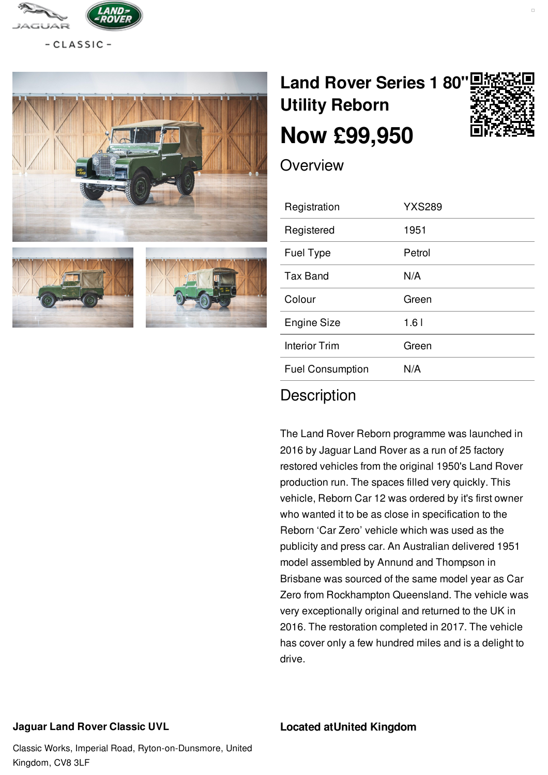

 $-CLASSIC -$ 







# **Land Rover Series 1 80" Utility [Reborn](/landrover/pdf/) Now [£99,950](/landrover/pdf/)**



**Overview** 

| Registration            | <b>YXS289</b> |
|-------------------------|---------------|
| Registered              | 1951          |
| <b>Fuel Type</b>        | Petrol        |
| Tax Band                | N/A           |
| Colour                  | Green         |
| <b>Engine Size</b>      | 1.61          |
| Interior Trim           | Green         |
| <b>Fuel Consumption</b> | N/A           |
|                         |               |

## **Description**

The Land Rover Reborn programme was launched in 2016 by Jaguar Land Rover as a run of 25 factory restored vehicles from the original 1950's Land Rover production run. The spaces filled very quickly. This vehicle, Reborn Car 12 was ordered by it's first owner who wanted it to be as close in specification to the Reborn 'Car Zero' vehicle which was used as the publicity and press car. An Australian delivered 1951 model assembled by Annund and Thompson in Brisbane was sourced of the same model year as Car Zero from Rockhampton Queensland. The vehicle was very exceptionally original and returned to the UK in 2016. The restoration completed in 2017. The vehicle has cover only a few hundred miles and is a delight to drive.

#### **Jaguar Land Rover Classic UVL**

#### **Located atUnited Kingdom**

Classic Works, Imperial Road, Ryton-on-Dunsmore, United Kingdom, CV8 3LF